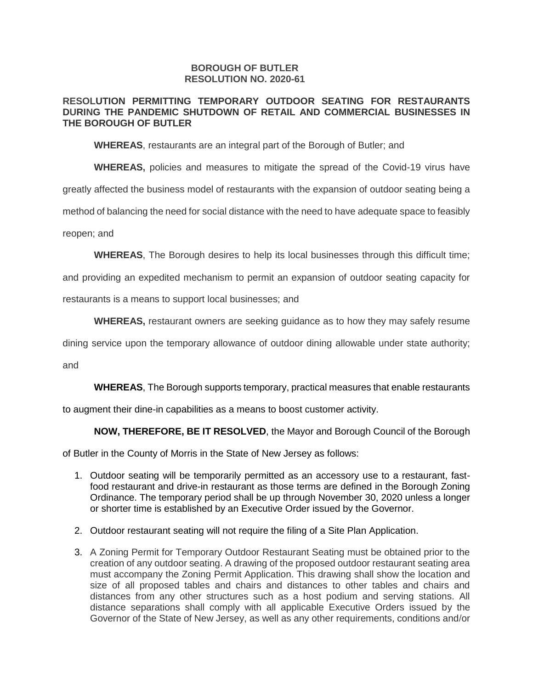### **BOROUGH OF BUTLER RESOLUTION NO. 2020-61**

## **RESOLUTION PERMITTING TEMPORARY OUTDOOR SEATING FOR RESTAURANTS DURING THE PANDEMIC SHUTDOWN OF RETAIL AND COMMERCIAL BUSINESSES IN THE BOROUGH OF BUTLER**

**WHEREAS**, restaurants are an integral part of the Borough of Butler; and

**WHEREAS,** policies and measures to mitigate the spread of the Covid-19 virus have

greatly affected the business model of restaurants with the expansion of outdoor seating being a

method of balancing the need for social distance with the need to have adequate space to feasibly

reopen; and

**WHEREAS**, The Borough desires to help its local businesses through this difficult time;

and providing an expedited mechanism to permit an expansion of outdoor seating capacity for

restaurants is a means to support local businesses; and

**WHEREAS,** restaurant owners are seeking guidance as to how they may safely resume

dining service upon the temporary allowance of outdoor dining allowable under state authority;

and

**WHEREAS**, The Borough supports temporary, practical measures that enable restaurants

to augment their dine-in capabilities as a means to boost customer activity.

**NOW, THEREFORE, BE IT RESOLVED**, the Mayor and Borough Council of the Borough

of Butler in the County of Morris in the State of New Jersey as follows:

- 1. Outdoor seating will be temporarily permitted as an accessory use to a restaurant, fastfood restaurant and drive-in restaurant as those terms are defined in the Borough Zoning Ordinance. The temporary period shall be up through November 30, 2020 unless a longer or shorter time is established by an Executive Order issued by the Governor.
- 2. Outdoor restaurant seating will not require the filing of a Site Plan Application.
- 3. A Zoning Permit for Temporary Outdoor Restaurant Seating must be obtained prior to the creation of any outdoor seating. A drawing of the proposed outdoor restaurant seating area must accompany the Zoning Permit Application. This drawing shall show the location and size of all proposed tables and chairs and distances to other tables and chairs and distances from any other structures such as a host podium and serving stations. All distance separations shall comply with all applicable Executive Orders issued by the Governor of the State of New Jersey, as well as any other requirements, conditions and/or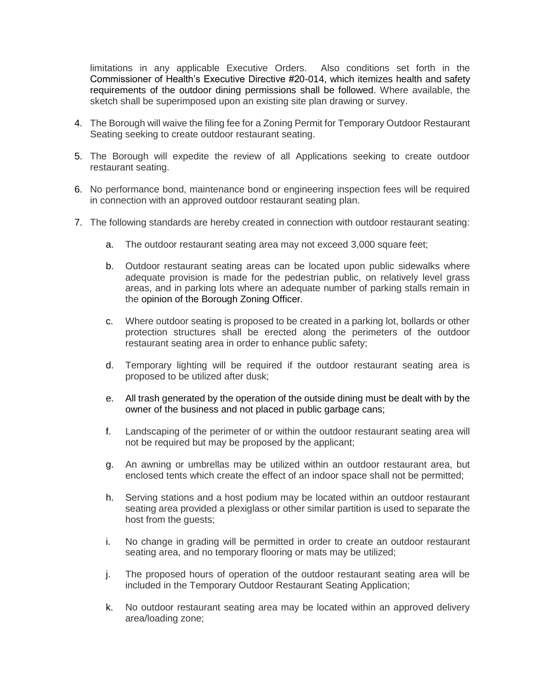limitations in any applicable Executive Orders. Also conditions set forth in the Commissioner of Health's Executive Directive #20-014, which itemizes health and safety requirements of the outdoor dining permissions shall be followed. Where available, the sketch shall be superimposed upon an existing site plan drawing or survey.

- 4. The Borough will waive the filing fee for a Zoning Permit for Temporary Outdoor Restaurant Seating seeking to create outdoor restaurant seating.
- 5. The Borough will expedite the review of all Applications seeking to create outdoor restaurant seating.
- 6. No performance bond, maintenance bond or engineering inspection fees will be required in connection with an approved outdoor restaurant seating plan.
- 7. The following standards are hereby created in connection with outdoor restaurant seating:
	- a. The outdoor restaurant seating area may not exceed 3,000 square feet;
	- b. Outdoor restaurant seating areas can be located upon public sidewalks where adequate provision is made for the pedestrian public, on relatively level grass areas, and in parking lots where an adequate number of parking stalls remain in the opinion of the Borough Zoning Officer.
	- c. Where outdoor seating is proposed to be created in a parking lot, bollards or other protection structures shall be erected along the perimeters of the outdoor restaurant seating area in order to enhance public safety;
	- d. Temporary lighting will be required if the outdoor restaurant seating area is proposed to be utilized after dusk;
	- e. All trash generated by the operation of the outside dining must be dealt with by the owner of the business and not placed in public garbage cans;
	- f. Landscaping of the perimeter of or within the outdoor restaurant seating area will not be required but may be proposed by the applicant;
	- g. An awning or umbrellas may be utilized within an outdoor restaurant area, but enclosed tents which create the effect of an indoor space shall not be permitted;
	- h. Serving stations and a host podium may be located within an outdoor restaurant seating area provided a plexiglass or other similar partition is used to separate the host from the quests:
	- i. No change in grading will be permitted in order to create an outdoor restaurant seating area, and no temporary flooring or mats may be utilized;
	- j. The proposed hours of operation of the outdoor restaurant seating area will be included in the Temporary Outdoor Restaurant Seating Application;
	- k. No outdoor restaurant seating area may be located within an approved delivery area/loading zone;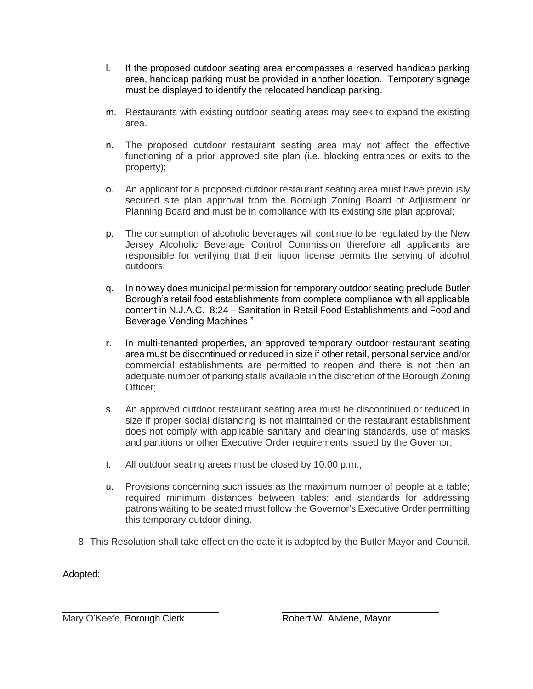- l. If the proposed outdoor seating area encompasses a reserved handicap parking area, handicap parking must be provided in another location. Temporary signage must be displayed to identify the relocated handicap parking.
- m. Restaurants with existing outdoor seating areas may seek to expand the existing area.
- n. The proposed outdoor restaurant seating area may not affect the effective functioning of a prior approved site plan (i.e. blocking entrances or exits to the property);
- o. An applicant for a proposed outdoor restaurant seating area must have previously secured site plan approval from the Borough Zoning Board of Adjustment or Planning Board and must be in compliance with its existing site plan approval;
- p. The consumption of alcoholic beverages will continue to be regulated by the New Jersey Alcoholic Beverage Control Commission therefore all applicants are responsible for verifying that their liquor license permits the serving of alcohol outdoors;
- q. In no way does municipal permission for temporary outdoor seating preclude Butler Borough's retail food establishments from complete compliance with all applicable content in N.J.A.C. 8:24 – Sanitation in Retail Food Establishments and Food and Beverage Vending Machines."
- r. In multi-tenanted properties, an approved temporary outdoor restaurant seating area must be discontinued or reduced in size if other retail, personal service and/or commercial establishments are permitted to reopen and there is not then an adequate number of parking stalls available in the discretion of the Borough Zoning Officer;
- s. An approved outdoor restaurant seating area must be discontinued or reduced in size if proper social distancing is not maintained or the restaurant establishment does not comply with applicable sanitary and cleaning standards, use of masks and partitions or other Executive Order requirements issued by the Governor;
- t. All outdoor seating areas must be closed by 10:00 p.m.;
- u. Provisions concerning such issues as the maximum number of people at a table; required minimum distances between tables; and standards for addressing patrons waiting to be seated must follow the Governor's Executive Order permitting this temporary outdoor dining.
- 8. This Resolution shall take effect on the date it is adopted by the Butler Mayor and Council.

Adopted:

Mary O'Keefe, Borough Clerk **Robert W. Alviene, Mayor** 

 $\overline{a}$